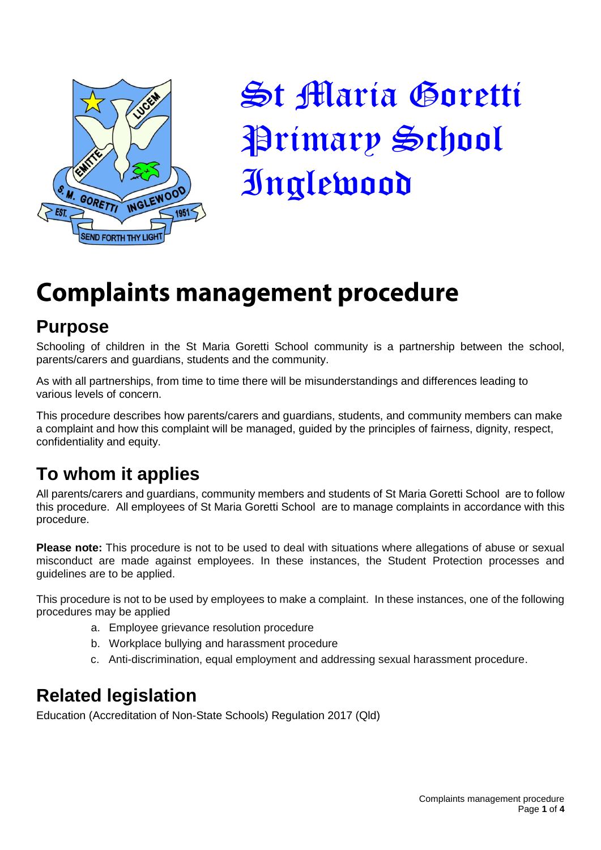

St Maria Goretti Primary School Inglewood

# **Complaints management procedure**

## **Purpose**

Schooling of children in the St Maria Goretti School community is a partnership between the school, parents/carers and guardians, students and the community.

As with all partnerships, from time to time there will be misunderstandings and differences leading to various levels of concern.

This procedure describes how parents/carers and guardians, students, and community members can make a complaint and how this complaint will be managed, guided by the principles of fairness, dignity, respect, confidentiality and equity.

# **To whom it applies**

All parents/carers and guardians, community members and students of St Maria Goretti School are to follow this procedure. All employees of St Maria Goretti School are to manage complaints in accordance with this procedure.

**Please note:** This procedure is not to be used to deal with situations where allegations of abuse or sexual misconduct are made against employees. In these instances, the Student Protection processes and guidelines are to be applied.

This procedure is not to be used by employees to make a complaint. In these instances, one of the following procedures may be applied

- a. Employee grievance resolution procedure
- b. Workplace bullying and harassment procedure
- c. Anti-discrimination, equal employment and addressing sexual harassment procedure.

# **Related legislation**

Education (Accreditation of Non-State Schools) Regulation 2017 (Qld)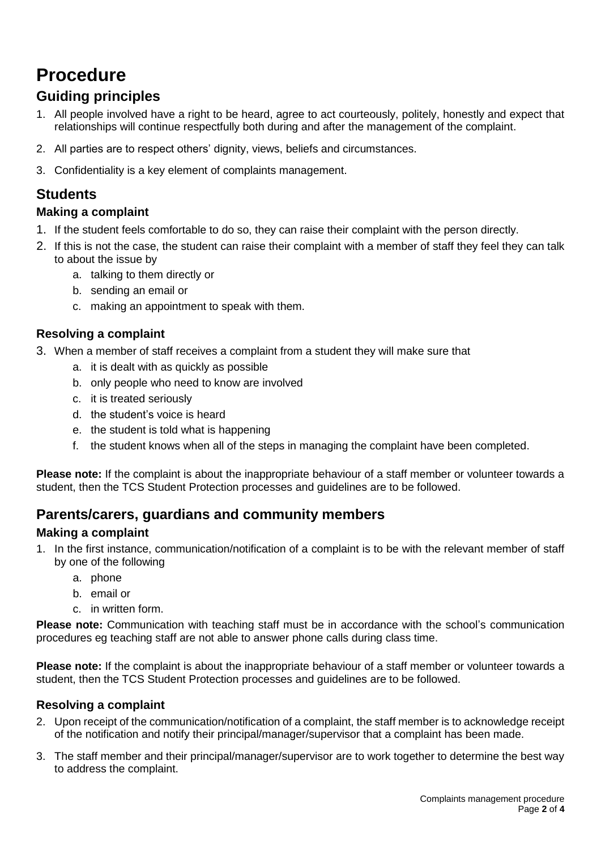# **Procedure**

### **Guiding principles**

- 1. All people involved have a right to be heard, agree to act courteously, politely, honestly and expect that relationships will continue respectfully both during and after the management of the complaint.
- 2. All parties are to respect others' dignity, views, beliefs and circumstances.
- 3. Confidentiality is a key element of complaints management.

### **Students**

#### **Making a complaint**

- 1. If the student feels comfortable to do so, they can raise their complaint with the person directly.
- 2. If this is not the case, the student can raise their complaint with a member of staff they feel they can talk to about the issue by
	- a. talking to them directly or
	- b. sending an email or
	- c. making an appointment to speak with them.

#### **Resolving a complaint**

- 3. When a member of staff receives a complaint from a student they will make sure that
	- a. it is dealt with as quickly as possible
	- b. only people who need to know are involved
	- c. it is treated seriously
	- d. the student's voice is heard
	- e. the student is told what is happening
	- f. the student knows when all of the steps in managing the complaint have been completed.

**Please note:** If the complaint is about the inappropriate behaviour of a staff member or volunteer towards a student, then the TCS Student Protection processes and guidelines are to be followed.

### **Parents/carers, guardians and community members**

#### **Making a complaint**

- 1. In the first instance, communication/notification of a complaint is to be with the relevant member of staff by one of the following
	- a. phone
	- b. email or
	- c. in written form.

**Please note:** Communication with teaching staff must be in accordance with the school's communication procedures eg teaching staff are not able to answer phone calls during class time.

**Please note:** If the complaint is about the inappropriate behaviour of a staff member or volunteer towards a student, then the TCS Student Protection processes and guidelines are to be followed.

#### **Resolving a complaint**

- 2. Upon receipt of the communication/notification of a complaint, the staff member is to acknowledge receipt of the notification and notify their principal/manager/supervisor that a complaint has been made.
- 3. The staff member and their principal/manager/supervisor are to work together to determine the best way to address the complaint.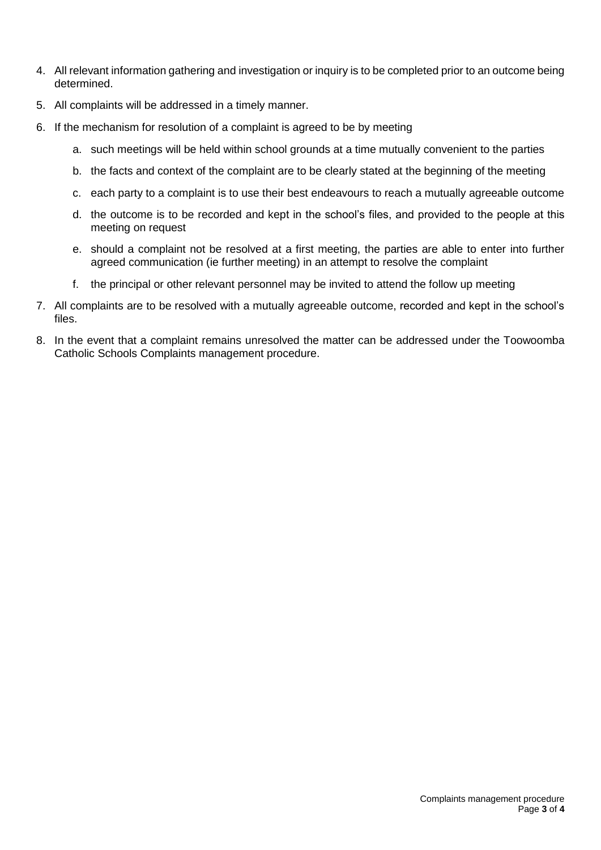- 4. All relevant information gathering and investigation or inquiry is to be completed prior to an outcome being determined.
- 5. All complaints will be addressed in a timely manner.
- 6. If the mechanism for resolution of a complaint is agreed to be by meeting
	- a. such meetings will be held within school grounds at a time mutually convenient to the parties
	- b. the facts and context of the complaint are to be clearly stated at the beginning of the meeting
	- c. each party to a complaint is to use their best endeavours to reach a mutually agreeable outcome
	- d. the outcome is to be recorded and kept in the school's files, and provided to the people at this meeting on request
	- e. should a complaint not be resolved at a first meeting, the parties are able to enter into further agreed communication (ie further meeting) in an attempt to resolve the complaint
	- f. the principal or other relevant personnel may be invited to attend the follow up meeting
- 7. All complaints are to be resolved with a mutually agreeable outcome, recorded and kept in the school's files.
- 8. In the event that a complaint remains unresolved the matter can be addressed under the Toowoomba Catholic Schools Complaints management procedure.